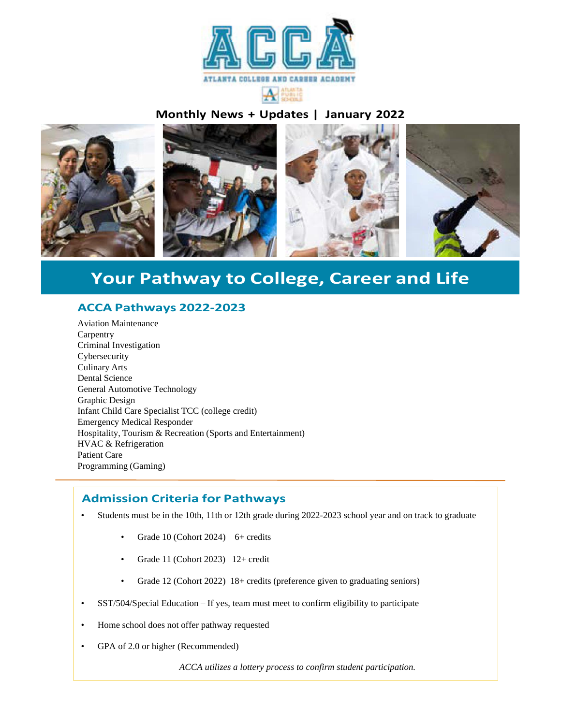

# **Monthly News + Updates | January 2022**



# **Your Pathway to College, Career and Life**

# **ACCA Pathways 2022-2023**

Aviation Maintenance Carpentry Criminal Investigation Cybersecurity Culinary Arts Dental Science General Automotive Technology Graphic Design Infant Child Care Specialist TCC (college credit) Emergency Medical Responder Hospitality, Tourism & Recreation (Sports and Entertainment) HVAC & Refrigeration Patient Care Programming (Gaming)

### **Admission Criteria for Pathways**

- Students must be in the 10th, 11th or 12th grade during 2022-2023 school year and on track to graduate
	- Grade 10 (Cohort 2024) 6+ credits
	- Grade 11 (Cohort 2023) 12+ credit
	- Grade 12 (Cohort 2022) 18+ credits (preference given to graduating seniors)
- SST/504/Special Education If yes, team must meet to confirm eligibility to participate
- Home school does not offer pathway requested
- GPA of 2.0 or higher (Recommended)

*ACCA utilizes a lottery process to confirm student participation.*